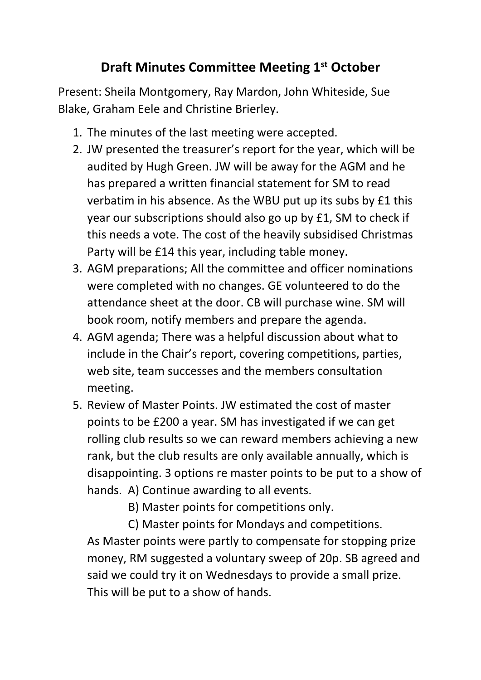## **Draft Minutes Committee Meeting 1st October**

Present: Sheila Montgomery, Ray Mardon, John Whiteside, Sue Blake, Graham Eele and Christine Brierley.

- 1. The minutes of the last meeting were accepted.
- 2. JW presented the treasurer's report for the year, which will be audited by Hugh Green. JW will be away for the AGM and he has prepared a written financial statement for SM to read verbatim in his absence. As the WBU put up its subs by £1 this year our subscriptions should also go up by £1, SM to check if this needs a vote. The cost of the heavily subsidised Christmas Party will be £14 this year, including table money.
- 3. AGM preparations; All the committee and officer nominations were completed with no changes. GE volunteered to do the attendance sheet at the door. CB will purchase wine. SM will book room, notify members and prepare the agenda.
- 4. AGM agenda; There was a helpful discussion about what to include in the Chair's report, covering competitions, parties, web site, team successes and the members consultation meeting.
- 5. Review of Master Points. JW estimated the cost of master points to be £200 a year. SM has investigated if we can get rolling club results so we can reward members achieving a new rank, but the club results are only available annually, which is disappointing. 3 options re master points to be put to a show of hands. A) Continue awarding to all events.
	- B) Master points for competitions only.

 C) Master points for Mondays and competitions. As Master points were partly to compensate for stopping prize money, RM suggested a voluntary sweep of 20p. SB agreed and said we could try it on Wednesdays to provide a small prize. This will be put to a show of hands.